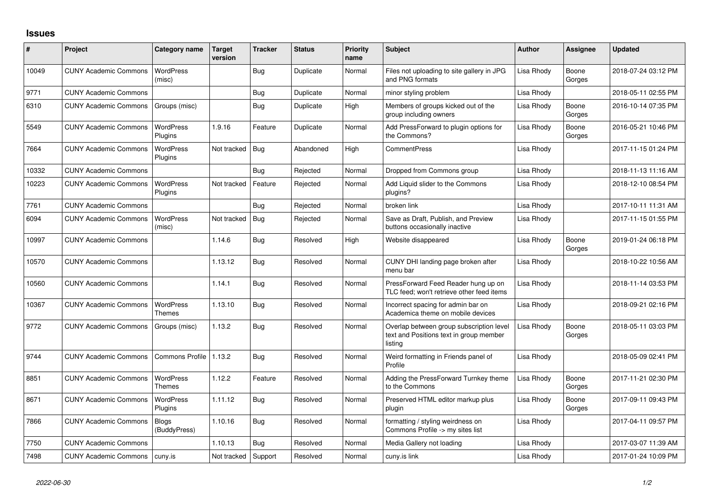## **Issues**

| #     | Project                      | Category name                     | Target<br>version | <b>Tracker</b> | <b>Status</b> | Priority<br>name | <b>Subject</b>                                                                                 | <b>Author</b> | <b>Assignee</b> | <b>Updated</b>      |
|-------|------------------------------|-----------------------------------|-------------------|----------------|---------------|------------------|------------------------------------------------------------------------------------------------|---------------|-----------------|---------------------|
| 10049 | <b>CUNY Academic Commons</b> | <b>WordPress</b><br>(misc)        |                   | Bug            | Duplicate     | Normal           | Files not uploading to site gallery in JPG<br>and PNG formats                                  | Lisa Rhody    | Boone<br>Gorges | 2018-07-24 03:12 PM |
| 9771  | <b>CUNY Academic Commons</b> |                                   |                   | Bug            | Duplicate     | Normal           | minor styling problem                                                                          | Lisa Rhody    |                 | 2018-05-11 02:55 PM |
| 6310  | <b>CUNY Academic Commons</b> | Groups (misc)                     |                   | Bug            | Duplicate     | High             | Members of groups kicked out of the<br>group including owners                                  | Lisa Rhody    | Boone<br>Gorges | 2016-10-14 07:35 PM |
| 5549  | <b>CUNY Academic Commons</b> | <b>WordPress</b><br>Plugins       | 1.9.16            | Feature        | Duplicate     | Normal           | Add PressForward to plugin options for<br>the Commons?                                         | Lisa Rhody    | Boone<br>Gorges | 2016-05-21 10:46 PM |
| 7664  | <b>CUNY Academic Commons</b> | <b>WordPress</b><br>Plugins       | Not tracked       | Bug            | Abandoned     | High             | <b>CommentPress</b>                                                                            | Lisa Rhody    |                 | 2017-11-15 01:24 PM |
| 10332 | <b>CUNY Academic Commons</b> |                                   |                   | Bug            | Rejected      | Normal           | Dropped from Commons group                                                                     | Lisa Rhody    |                 | 2018-11-13 11:16 AM |
| 10223 | <b>CUNY Academic Commons</b> | WordPress<br>Plugins              | Not tracked       | Feature        | Rejected      | Normal           | Add Liquid slider to the Commons<br>plugins?                                                   | Lisa Rhody    |                 | 2018-12-10 08:54 PM |
| 7761  | <b>CUNY Academic Commons</b> |                                   |                   | Bug            | Rejected      | Normal           | broken link                                                                                    | Lisa Rhody    |                 | 2017-10-11 11:31 AM |
| 6094  | <b>CUNY Academic Commons</b> | <b>WordPress</b><br>(misc)        | Not tracked       | Bug            | Rejected      | Normal           | Save as Draft, Publish, and Preview<br>buttons occasionally inactive                           | Lisa Rhody    |                 | 2017-11-15 01:55 PM |
| 10997 | <b>CUNY Academic Commons</b> |                                   | 1.14.6            | Bug            | Resolved      | High             | Website disappeared                                                                            | Lisa Rhody    | Boone<br>Gorges | 2019-01-24 06:18 PM |
| 10570 | <b>CUNY Academic Commons</b> |                                   | 1.13.12           | Bug            | Resolved      | Normal           | CUNY DHI landing page broken after<br>menu bar                                                 | Lisa Rhody    |                 | 2018-10-22 10:56 AM |
| 10560 | <b>CUNY Academic Commons</b> |                                   | 1.14.1            | Bug            | Resolved      | Normal           | PressForward Feed Reader hung up on<br>TLC feed; won't retrieve other feed items               | Lisa Rhody    |                 | 2018-11-14 03:53 PM |
| 10367 | <b>CUNY Academic Commons</b> | <b>WordPress</b><br><b>Themes</b> | 1.13.10           | Bug            | Resolved      | Normal           | Incorrect spacing for admin bar on<br>Academica theme on mobile devices                        | Lisa Rhody    |                 | 2018-09-21 02:16 PM |
| 9772  | <b>CUNY Academic Commons</b> | Groups (misc)                     | 1.13.2            | Bug            | Resolved      | Normal           | Overlap between group subscription level<br>text and Positions text in group member<br>listing | Lisa Rhody    | Boone<br>Gorges | 2018-05-11 03:03 PM |
| 9744  | <b>CUNY Academic Commons</b> | <b>Commons Profile</b>            | 1.13.2            | Bug            | Resolved      | Normal           | Weird formatting in Friends panel of<br>Profile                                                | Lisa Rhody    |                 | 2018-05-09 02:41 PM |
| 8851  | <b>CUNY Academic Commons</b> | <b>WordPress</b><br><b>Themes</b> | 1.12.2            | Feature        | Resolved      | Normal           | Adding the PressForward Turnkey theme<br>to the Commons                                        | Lisa Rhody    | Boone<br>Gorges | 2017-11-21 02:30 PM |
| 8671  | <b>CUNY Academic Commons</b> | <b>WordPress</b><br>Plugins       | 1.11.12           | Bug            | Resolved      | Normal           | Preserved HTML editor markup plus<br>plugin                                                    | Lisa Rhody    | Boone<br>Gorges | 2017-09-11 09:43 PM |
| 7866  | <b>CUNY Academic Commons</b> | <b>Blogs</b><br>(BuddyPress)      | 1.10.16           | <b>Bug</b>     | Resolved      | Normal           | formatting / styling weirdness on<br>Commons Profile -> my sites list                          | Lisa Rhody    |                 | 2017-04-11 09:57 PM |
| 7750  | <b>CUNY Academic Commons</b> |                                   | 1.10.13           | Bug            | Resolved      | Normal           | Media Gallery not loading                                                                      | Lisa Rhody    |                 | 2017-03-07 11:39 AM |
| 7498  | <b>CUNY Academic Commons</b> | cuny.is                           | Not tracked       | Support        | Resolved      | Normal           | cuny.is link                                                                                   | Lisa Rhody    |                 | 2017-01-24 10:09 PM |